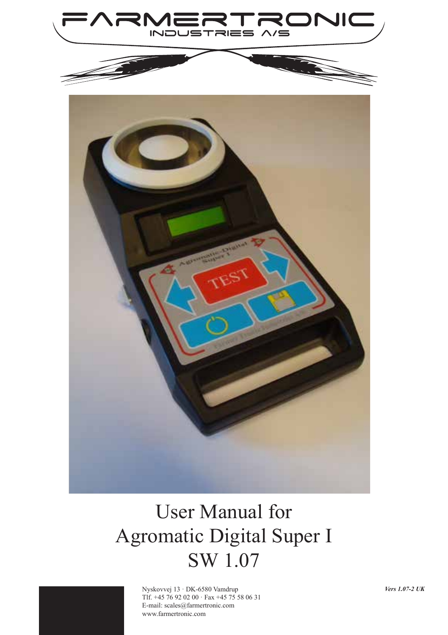

# User Manual for Agromatic Digital Super I SW 1.07



Nyskovvej 13 · DK-6580 Vamdrup Tlf. +45 76 92 02 00 · Fax +45 75 58 06 31 E-mail: scales@farmertronic.com www.farmertronic.com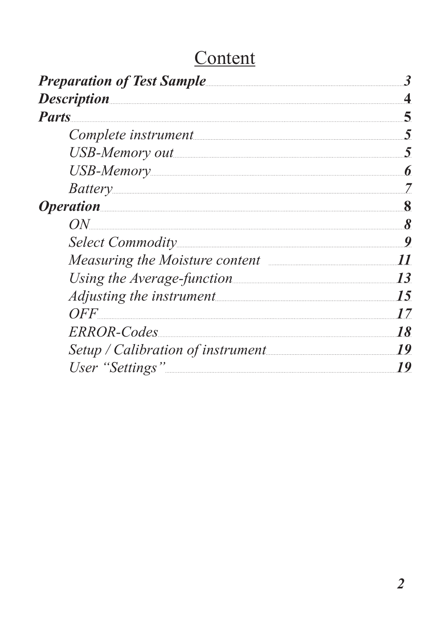# **Content**

| <b>Preparation of Test Sample</b>                   | 3  |
|-----------------------------------------------------|----|
|                                                     |    |
| <b>Parts</b>                                        | 5  |
| Complete instrument                                 | 5  |
| USB-Memory out                                      | 5  |
|                                                     | 6  |
| Battery                                             | 7  |
| <i>Operation</i>                                    | 8  |
| ON                                                  | 8  |
|                                                     | 9  |
| Measuring the Moisture content <b>Election</b> 2016 | 11 |
|                                                     | 13 |
|                                                     | 15 |
| OFF                                                 | 17 |
| ERROR-Codes                                         | 18 |
|                                                     | 19 |
| User "Settings"                                     | 19 |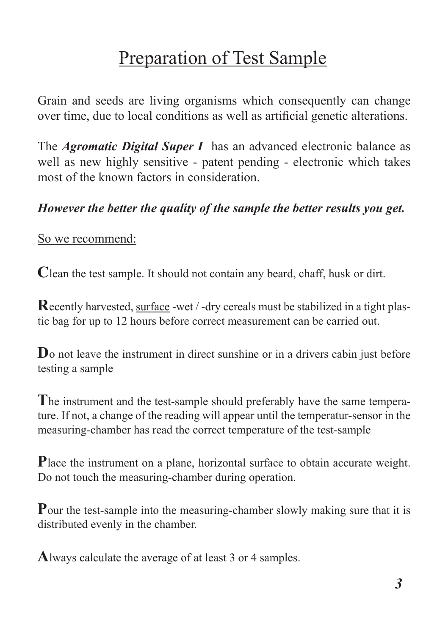## Preparation of Test Sample

Grain and seeds are living organisms which consequently can change over time, due to local conditions as well as artificial genetic alterations.

The *Agromatic Digital Super I* has an advanced electronic balance as well as new highly sensitive - patent pending - electronic which takes most of the known factors in consideration.

#### *However the better the quality of the sample the better results you get.*

So we recommend:

**C**lean the test sample. It should not contain any beard, chaff, husk or dirt.

**R**ecently harvested, surface -wet / -dry cereals must be stabilized in a tight plastic bag for up to 12 hours before correct measurement can be carried out.

**D**<sub>o</sub> not leave the instrument in direct sunshine or in a drivers cabin just before testing a sample

**T**he instrument and the test-sample should preferably have the same temperature. If not, a change of the reading will appear until the temperatur-sensor in the measuring-chamber has read the correct temperature of the test-sample

**P**lace the instrument on a plane, horizontal surface to obtain accurate weight. Do not touch the measuring-chamber during operation.

**P**our the test-sample into the measuring-chamber slowly making sure that it is distributed evenly in the chamber.

**A**lways calculate the average of at least 3 or 4 samples.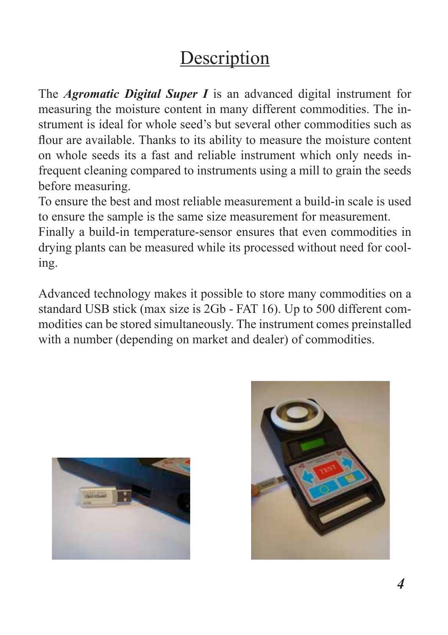# **Description**

The *Agromatic Digital Super I* is an advanced digital instrument for measuring the moisture content in many different commodities. The instrument is ideal for whole seed's but several other commodities such as flour are available. Thanks to its ability to measure the moisture content on whole seeds its a fast and reliable instrument which only needs infrequent cleaning compared to instruments using a mill to grain the seeds before measuring.

To ensure the best and most reliable measurement a build-in scale is used to ensure the sample is the same size measurement for measurement.

Finally a build-in temperature-sensor ensures that even commodities in drying plants can be measured while its processed without need for cooling.

Advanced technology makes it possible to store many commodities on a standard USB stick (max size is 2Gb - FAT 16). Up to 500 different commodities can be stored simultaneously. The instrument comes preinstalled with a number (depending on market and dealer) of commodities.



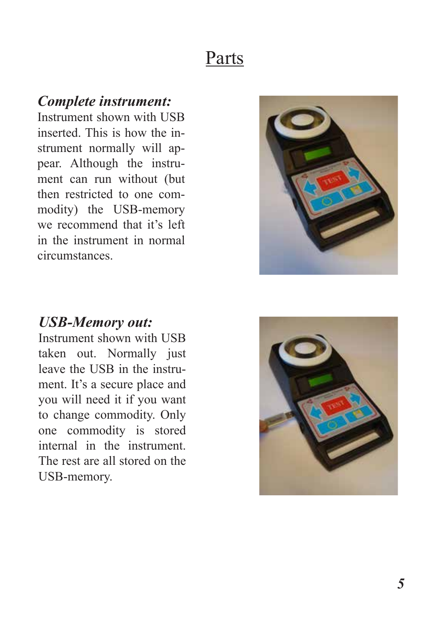## Parts

#### *Complete instrument:*

Instrument shown with USB inserted. This is how the instrument normally will appear. Although the instrument can run without (but then restricted to one commodity) the USB-memory we recommend that it's left in the instrument in normal circumstances.



#### *USB-Memory out:*

Instrument shown with USB taken out. Normally just leave the USB in the instrument. It's a secure place and you will need it if you want to change commodity. Only one commodity is stored internal in the instrument. The rest are all stored on the USB-memory.

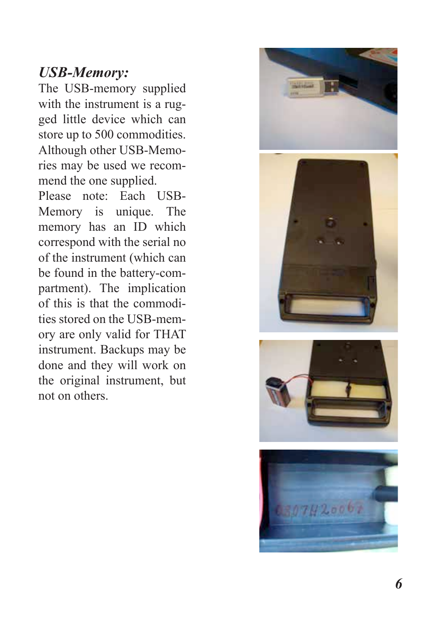### *USB-Memory:*

The USB-memory supplied with the instrument is a rugged little device which can store up to 500 commodities. Although other USB-Memo ries may be used we recom mend the one supplied.

Please note: Each USB-Memory is unique. The memory has an ID which correspond with the serial no of the instrument (which can be found in the battery-com partment). The implication of this is that the commodi ties stored on the USB-mem ory are only valid for THAT instrument. Backups may be done and they will work on the original instrument, but not on others.





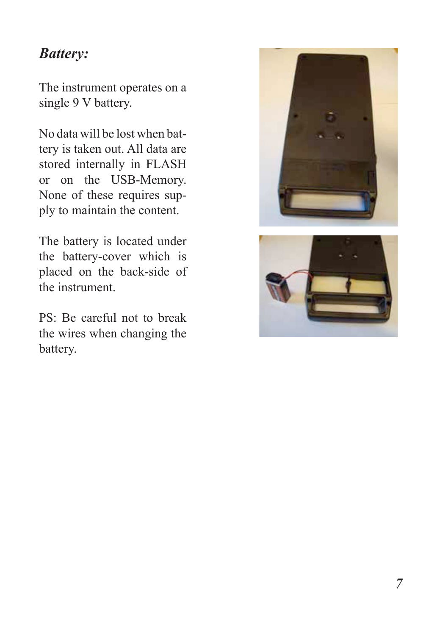### *Battery:*

The instrument operates on a single 9 V battery.

No data will be lost when battery is taken out. All data are stored internally in FLASH or on the USB-Memory. None of these requires supply to maintain the content.

The battery is located under the battery-cover which is placed on the back-side of the instrument.

PS: Be careful not to break the wires when changing the battery.



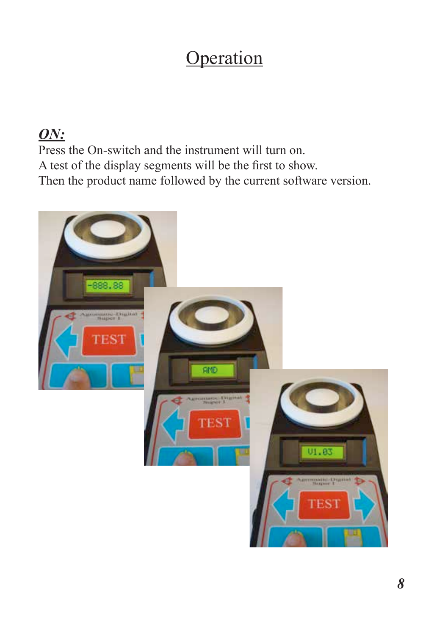# **Operation**

### *ON:*

Press the On-switch and the instrument will turn on. A test of the display segments will be the first to show. Then the product name followed by the current software version.

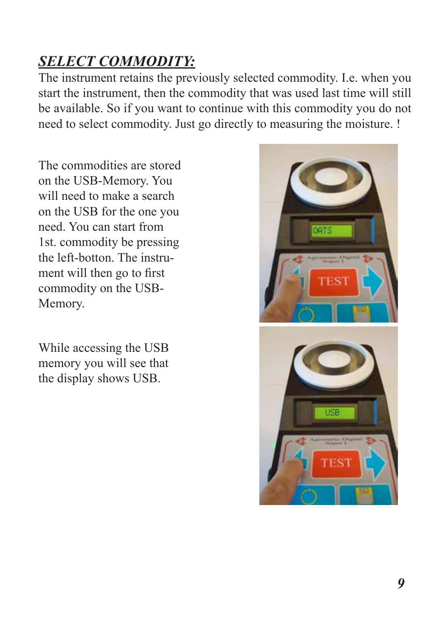## *SELECT COMMODITY:*

The instrument retains the previously selected commodity. I.e. when you start the instrument, then the commodity that was used last time will still be available. So if you want to continue with this commodity you do not need to select commodity. Just go directly to measuring the moisture. !

The commodities are stored on the USB-Memory. You will need to make a search on the USB for the one you need. You can start from 1st. commodity be pressing the left-botton. The instrument will then go to first commodity on the USB-Memory.

While accessing the USB memory you will see that the display shows USB.

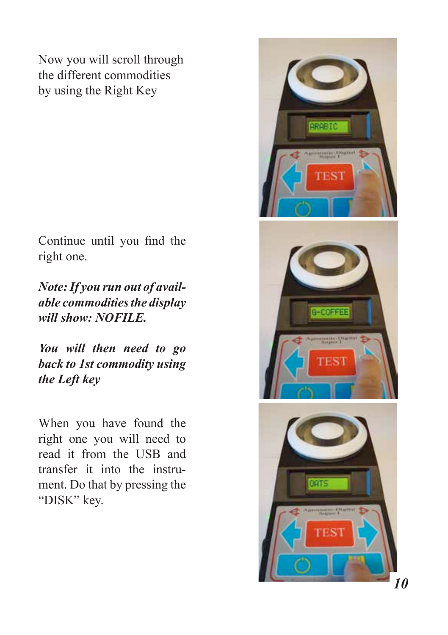Now you will scroll through the different commodities by using the Right Key

Continue until you find the right one.

*Note: If you run out of available commodities the display will show: NOFILE.*

*You will then need to go back to 1st commodity using the Left key*

When you have found the right one you will need to read it from the USB and transfer it into the instrument. Do that by pressing the "DISK" key.

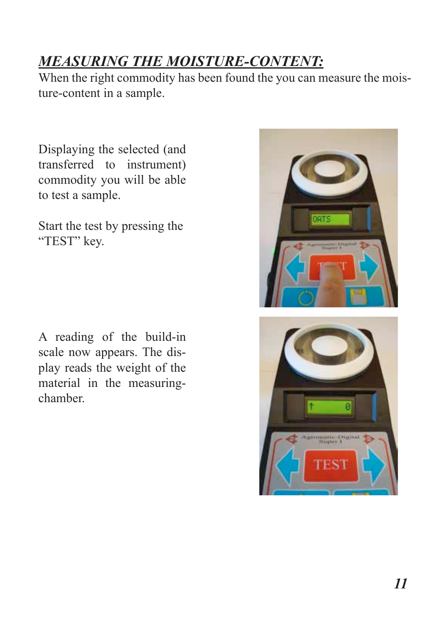## *MEASURING THE MOISTURE-CONTENT:*

When the right commodity has been found the you can measure the moisture-content in a sample.

Displaying the selected (and transferred to instrument) commodity you will be able to test a sample.

Start the test by pressing the "TEST" key.

A reading of the build-in scale now appears. The display reads the weight of the material in the measuringchamber.

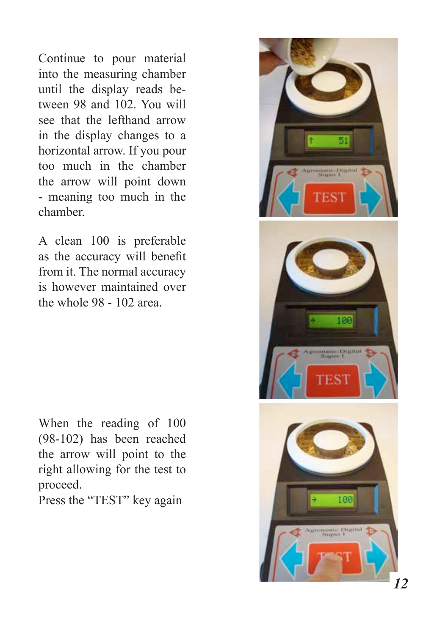Continue to pour material into the measuring chamber until the display reads be tween 98 and 102. You will see that the lefthand arrow in the display changes to a horizontal arrow. If you pour too much in the chamber the arrow will point down - meaning too much in the chamber.

A clean 100 is preferable as the accuracy will benefit from it. The normal accuracy is however maintained over the whole 98 - 102 area.

When the reading of 100 (98-102) has been reached the arrow will point to the right allowing for the test to proceed.

Press the "TEST" key again

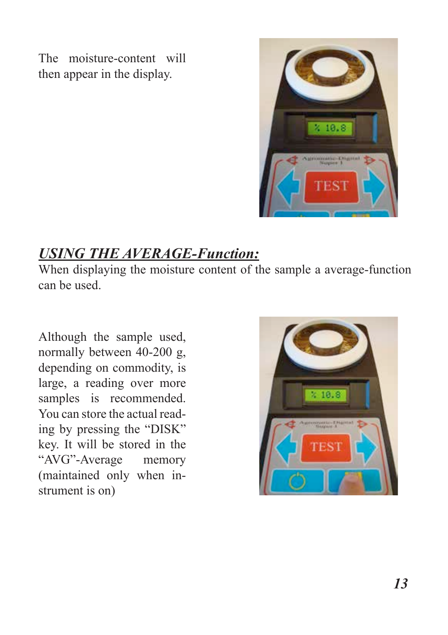The moisture-content will then appear in the display.



## *USING THE AVERAGE-Function:*

When displaying the moisture content of the sample a average-function can be used.

Although the sample used, normally between 40-200 g, depending on commodity, is large, a reading over more samples is recommended. You can store the actual reading by pressing the "DISK" key. It will be stored in the "AVG"-Average memory (maintained only when instrument is on)

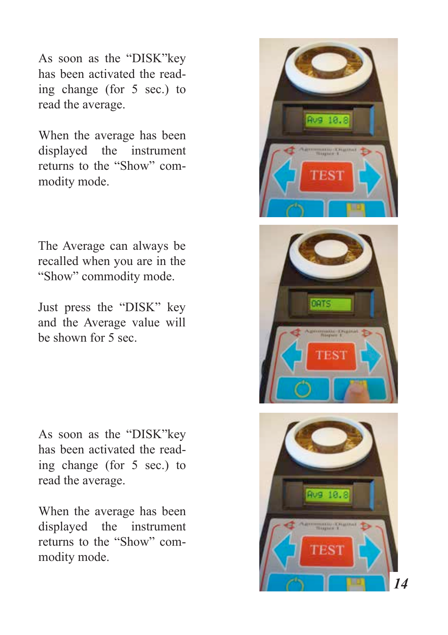As soon as the "DISK"key has been activated the read ing change (for 5 sec.) to read the average.

When the average has been displayed the instrument returns to the "Show" com modity mode.

The Average can always be recalled when you are in the "Show" commodity mode.

Just press the "DISK" key and the Average value will be shown for 5 sec.

As soon as the "DISK"key has been activated the read ing change (for 5 sec.) to read the average.

When the average has been displayed the instrument returns to the "Show" com modity mode.





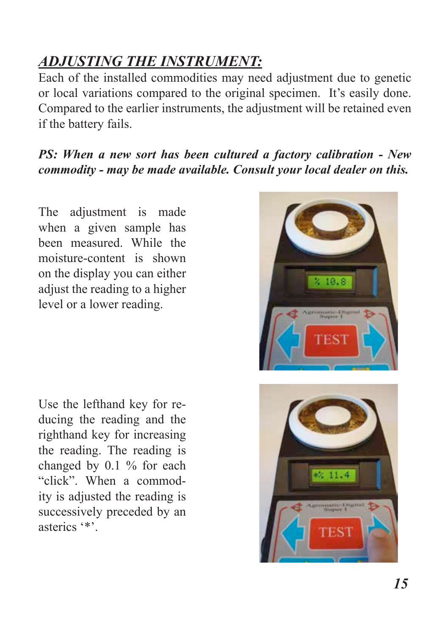## *ADJUSTING THE INSTRUMENT:*

Each of the installed commodities may need adjustment due to genetic or local variations compared to the original specimen. It's easily done. Compared to the earlier instruments, the adjustment will be retained even if the battery fails.

*PS: When a new sort has been cultured a factory calibration - New commodity - may be made available. Consult your local dealer on this.*

The adjustment is made when a given sample has been measured. While the moisture-content is shown on the display you can either adjust the reading to a higher level or a lower reading.

Use the lefthand key for reducing the reading and the righthand key for increasing the reading. The reading is changed by 0.1 % for each "click". When a commodity is adjusted the reading is successively preceded by an asterics '\*'.

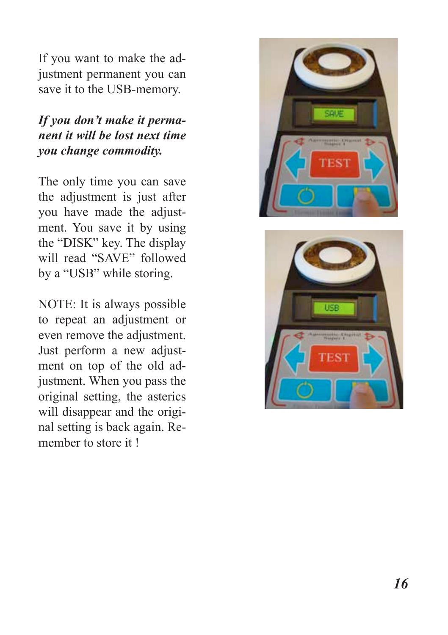If you want to make the ad justment permanent you can save it to the USB-memory.

#### *If you don't make it perma nent it will be lost next time you change commodity.*

The only time you can save the adjustment is just after you have made the adjust ment. You save it by using the "DISK" key. The display will read "SAVE" followed by a "USB" while storing.

NOTE: It is always possible to repeat an adjustment or even remove the adjustment. Just perform a new adjust ment on top of the old ad justment. When you pass the original setting, the asterics will disappear and the original setting is back again. Re member to store it !



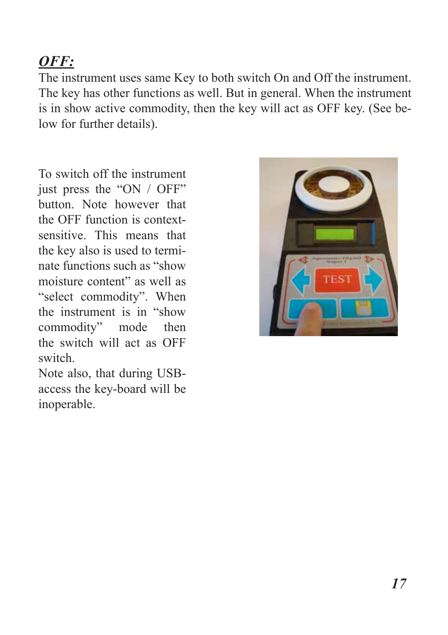## *OFF:*

The instrument uses same Key to both switch On and Off the instrument. The key has other functions as well. But in general. When the instrument is in show active commodity, then the key will act as OFF key. (See below for further details).

To switch off the instrument just press the "ON / OFF" button. Note however that the OFF function is contextsensitive. This means that the key also is used to terminate functions such as "show moisture content" as well as "select commodity". When the instrument is in "show commodity" mode then the switch will act as OFF switch.

Note also, that during USBaccess the key-board will be inoperable.

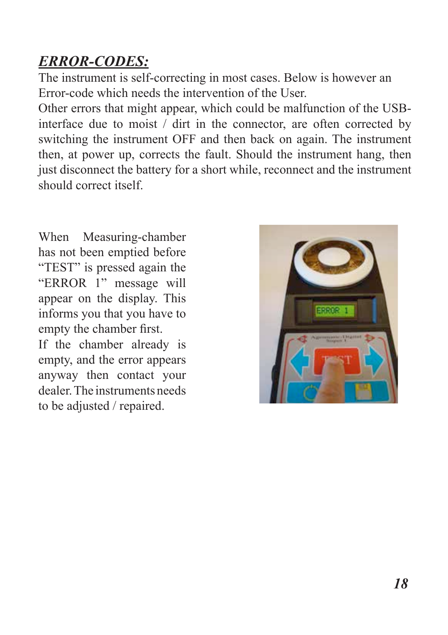## *ERROR-CODES:*

The instrument is self-correcting in most cases. Below is however an Error-code which needs the intervention of the User.

Other errors that might appear, which could be malfunction of the USBinterface due to moist / dirt in the connector, are often corrected by switching the instrument OFF and then back on again. The instrument then, at power up, corrects the fault. Should the instrument hang, then just disconnect the battery for a short while, reconnect and the instrument should correct itself.

When Measuring-chamber has not been emptied before "TEST" is pressed again the "ERROR 1" message will appear on the display. This informs you that you have to empty the chamber first.

If the chamber already is empty, and the error appears anyway then contact your dealer. The instruments needs to be adjusted / repaired.

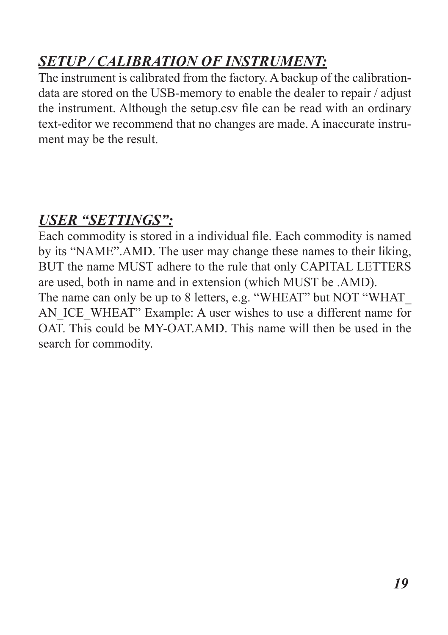## *SETUP / CALIBRATION OF INSTRUMENT:*

The instrument is calibrated from the factory. A backup of the calibrationdata are stored on the USB-memory to enable the dealer to repair / adjust the instrument. Although the setup.csv file can be read with an ordinary text-editor we recommend that no changes are made. A inaccurate instrument may be the result.

### *USER "SETTINGS":*

Each commodity is stored in a individual file. Each commodity is named by its "NAME".AMD. The user may change these names to their liking, BUT the name MUST adhere to the rule that only CAPITAL LETTERS are used, both in name and in extension (which MUST be .AMD). The name can only be up to 8 letters, e.g. "WHEAT" but NOT "WHAT AN\_ICE\_WHEAT" Example: A user wishes to use a different name for OAT. This could be MY-OAT.AMD. This name will then be used in the search for commodity.